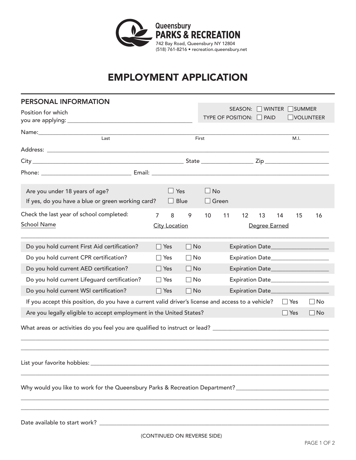

## EMPLOYMENT APPLICATION

| PERSONAL INFORMATION                                                                                           |                         |                                |                                     |    |         |                             |               |               |              |
|----------------------------------------------------------------------------------------------------------------|-------------------------|--------------------------------|-------------------------------------|----|---------|-----------------------------|---------------|---------------|--------------|
| Position for which                                                                                             |                         |                                | <b>TYPE OF POSITION:</b>            |    | SEASON: | <b>PAID</b>                 | <b>WINTER</b> | <b>SUMMER</b> | VOLUNTEER    |
| Name: Last                                                                                                     |                         |                                | First                               |    |         |                             |               | M.I.          |              |
|                                                                                                                |                         |                                |                                     |    |         |                             |               |               |              |
|                                                                                                                |                         |                                |                                     |    |         |                             |               |               |              |
|                                                                                                                |                         |                                |                                     |    |         |                             |               |               |              |
|                                                                                                                |                         |                                |                                     |    |         |                             |               |               |              |
| Are you under 18 years of age?                                                                                 |                         | $\Box$ Yes                     | No<br>$\Box$                        |    |         |                             |               |               |              |
| If yes, do you have a blue or green working card?                                                              |                         | $\Box$ Blue                    | $\Box$ Green                        |    |         |                             |               |               |              |
| Check the last year of school completed:<br><b>School Name</b>                                                 | $\overline{7}$          | 8<br>9<br><b>City Location</b> | 10                                  | 11 | 12      | 13<br>Degree Earned         | 14            | 15            | 16           |
| Do you hold current First Aid certification?                                                                   | $\Box$ Yes              | $\Box$ No                      |                                     |    |         | Expiration Date____________ |               |               |              |
| Do you hold current CPR certification?                                                                         | $\Box$ Yes<br>$\Box$ No |                                | Expiration Date____________________ |    |         |                             |               |               |              |
| Do you hold current AED certification?                                                                         | $\Box$ No<br>$\Box$ Yes |                                |                                     |    |         |                             |               |               |              |
| Do you hold current Lifeguard certification?                                                                   | $\Box$ Yes              | $\Box$ No                      | Expiration Date____________________ |    |         |                             |               |               |              |
| Do you hold current WSI certification?                                                                         | $\Box$ Yes              | $\Box$ No                      |                                     |    |         | Expiration Date             |               |               |              |
| If you accept this position, do you have a current valid driver's license and access to a vehicle?             |                         |                                |                                     |    |         |                             | $\Box$ Yes    |               | $\Box$ No    |
| Are you legally eligible to accept employment in the United States?                                            |                         |                                |                                     |    |         |                             |               | $\Box$ Yes    | $\Box$<br>No |
| What areas or activities do you feel you are qualified to instruct or lead? __________________________________ |                         |                                |                                     |    |         |                             |               |               |              |
|                                                                                                                |                         |                                |                                     |    |         |                             |               |               |              |
| Why would you like to work for the Queensbury Parks & Recreation Department?__________________________________ |                         |                                |                                     |    |         |                             |               |               |              |
| Date available to start work?                                                                                  |                         |                                |                                     |    |         |                             |               |               |              |

(CONTINUED ON REVERSE SIDE)